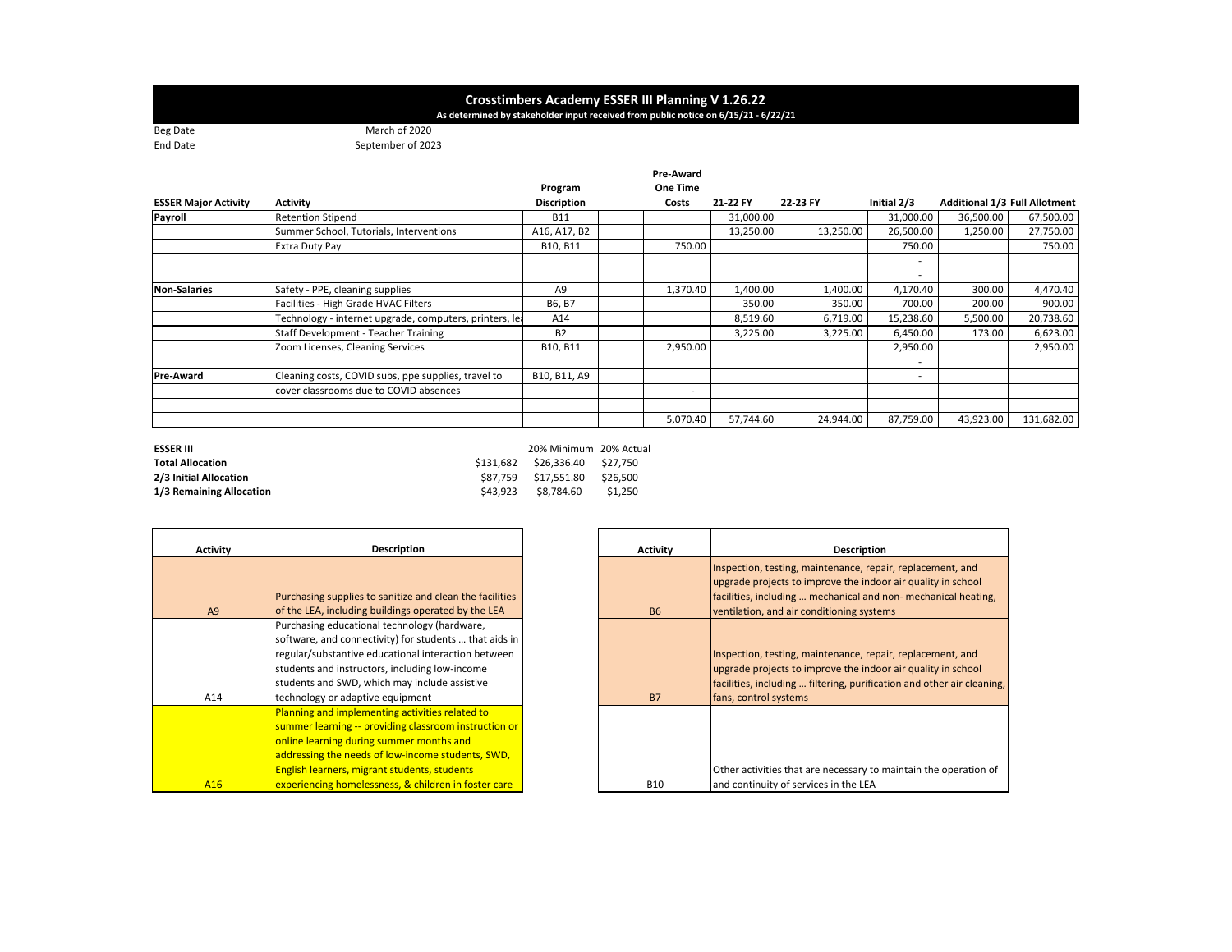## Crosstimbers Academy ESSER III Planning V 1.26.22<br>As determined by stakeholder input received from public notice on 6/15/21 - 6/22/21

Beg Date March of 2020 End Date

September of 2023

|                             |                                                         | Program            | Pre-Award<br>One Time |        |           |           |                          |                                      |            |
|-----------------------------|---------------------------------------------------------|--------------------|-----------------------|--------|-----------|-----------|--------------------------|--------------------------------------|------------|
| <b>ESSER Major Activity</b> | <b>Activity</b>                                         | <b>Discription</b> | Costs                 |        | 21-22 FY  | 22-23 FY  | Initial 2/3              | <b>Additional 1/3 Full Allotment</b> |            |
| Payroll                     | <b>Retention Stipend</b>                                | <b>B11</b>         |                       |        | 31,000.00 |           | 31,000.00                | 36,500.00                            | 67,500.00  |
|                             | Summer School, Tutorials, Interventions                 | A16, A17, B2       |                       |        | 13,250.00 | 13,250.00 | 26,500.00                | 1,250.00                             | 27,750.00  |
|                             | <b>Extra Duty Pay</b>                                   | B10, B11           |                       | 750.00 |           |           | 750.00                   |                                      | 750.00     |
|                             |                                                         |                    |                       |        |           |           | $\overline{\phantom{a}}$ |                                      |            |
|                             |                                                         |                    |                       |        |           |           |                          |                                      |            |
| <b>Non-Salaries</b>         | Safety - PPE, cleaning supplies                         | A9                 | 1,370.40              |        | 1,400.00  | 1,400.00  | 4,170.40                 | 300.00                               | 4,470.40   |
|                             | Facilities - High Grade HVAC Filters                    | B6, B7             |                       |        | 350.00    | 350.00    | 700.00                   | 200.00                               | 900.00     |
|                             | Technology - internet upgrade, computers, printers, lea | A14                |                       |        | 8,519.60  | 6,719.00  | 15,238.60                | 5,500.00                             | 20,738.60  |
|                             | Staff Development - Teacher Training                    | <b>B2</b>          |                       |        | 3,225.00  | 3,225.00  | 6,450.00                 | 173.00                               | 6,623.00   |
|                             | Zoom Licenses, Cleaning Services                        | B10, B11           | 2,950.00              |        |           |           | 2,950.00                 |                                      | 2,950.00   |
|                             |                                                         |                    |                       |        |           |           | ۰                        |                                      |            |
| <b>Pre-Award</b>            | Cleaning costs, COVID subs, ppe supplies, travel to     | B10, B11, A9       |                       |        |           |           |                          |                                      |            |
|                             | cover classrooms due to COVID absences                  |                    |                       |        |           |           |                          |                                      |            |
|                             |                                                         |                    |                       |        |           |           |                          |                                      |            |
|                             |                                                         |                    | 5,070.40              |        | 57,744.60 | 24,944.00 | 87,759.00                | 43,923.00                            | 131,682.00 |

| <b>ESSER III</b>         |          | 20% Minimum 20% Actual         |          |
|--------------------------|----------|--------------------------------|----------|
| <b>Total Allocation</b>  |          | \$131.682 \$26.336.40 \$27.750 |          |
| 2/3 Initial Allocation   |          | \$87.759 \$17.551.80           | \$26.500 |
| 1/3 Remaining Allocation | \$43.923 | \$8.784.60                     | \$1.250  |

| <b>Activity</b> | <b>Description</b>                                       |
|-----------------|----------------------------------------------------------|
|                 |                                                          |
|                 |                                                          |
|                 | Purchasing supplies to sanitize and clean the facilities |
| A9              | of the LEA, including buildings operated by the LEA      |
|                 | Purchasing educational technology (hardware,             |
|                 | software, and connectivity) for students  that aids in   |
|                 | regular/substantive educational interaction between      |
|                 | students and instructors, including low-income           |
|                 | students and SWD, which may include assistive            |
| A14             | technology or adaptive equipment                         |
|                 | Planning and implementing activities related to          |
|                 | summer learning -- providing classroom instruction or    |
|                 | online learning during summer months and                 |
|                 | addressing the needs of low-income students, SWD,        |
|                 | English learners, migrant students, students             |
| A16             | experiencing homelessness, & children in foster care     |

| <b>Activity</b> | <b>Description</b>                                                                                                                                                                                                                       |
|-----------------|------------------------------------------------------------------------------------------------------------------------------------------------------------------------------------------------------------------------------------------|
| <b>B6</b>       | Inspection, testing, maintenance, repair, replacement, and<br>upgrade projects to improve the indoor air quality in school<br>facilities, including  mechanical and non-mechanical heating,<br>ventilation, and air conditioning systems |
| <b>B7</b>       | Inspection, testing, maintenance, repair, replacement, and<br>upgrade projects to improve the indoor air quality in school<br>facilities, including  filtering, purification and other air cleaning,<br>fans, control systems            |
| <b>B10</b>      | Other activities that are necessary to maintain the operation of<br>and continuity of services in the LEA                                                                                                                                |